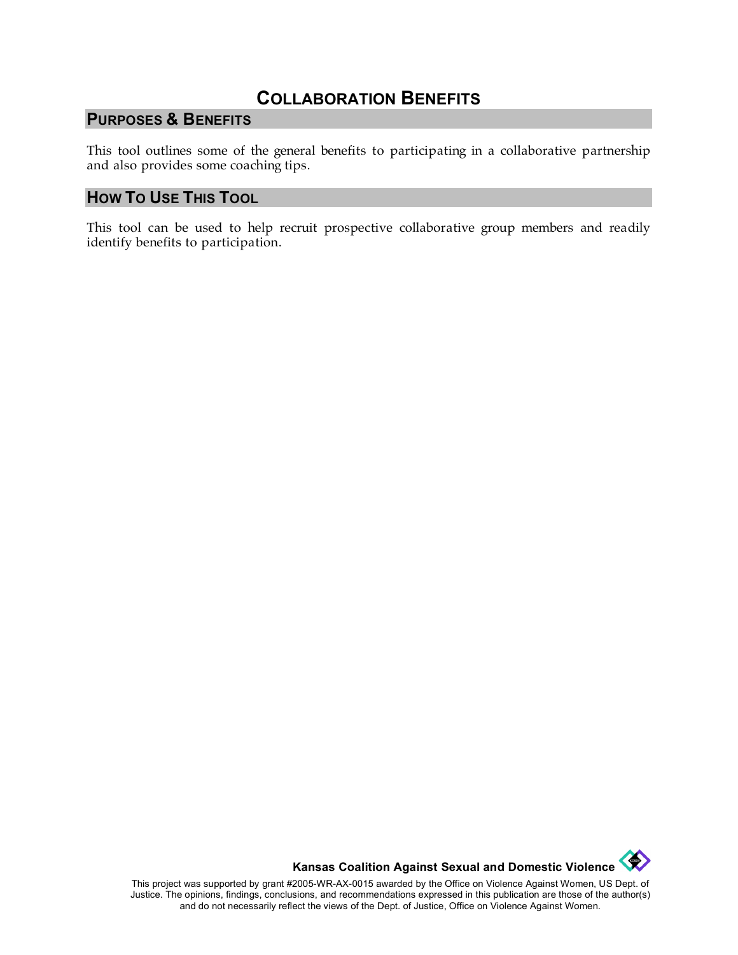# **COLLABORATION BENEFITS**

## **PURPOSES & BENEFITS**

This tool outlines some of the general benefits to participating in a collaborative partnership and also provides some coaching tips.

#### **HOW TO USE THIS TOOL**

This tool can be used to help recruit prospective collaborative group members and readily identify benefits to participation.



This project was supported by grant #2005-WR-AX-0015 awarded by the Office on Violence Against Women, US Dept. of Justice. The opinions, findings, conclusions, and recommendations expressed in this publication are those of the author(s) and do not necessarily reflect the views of the Dept. of Justice, Office on Violence Against Women.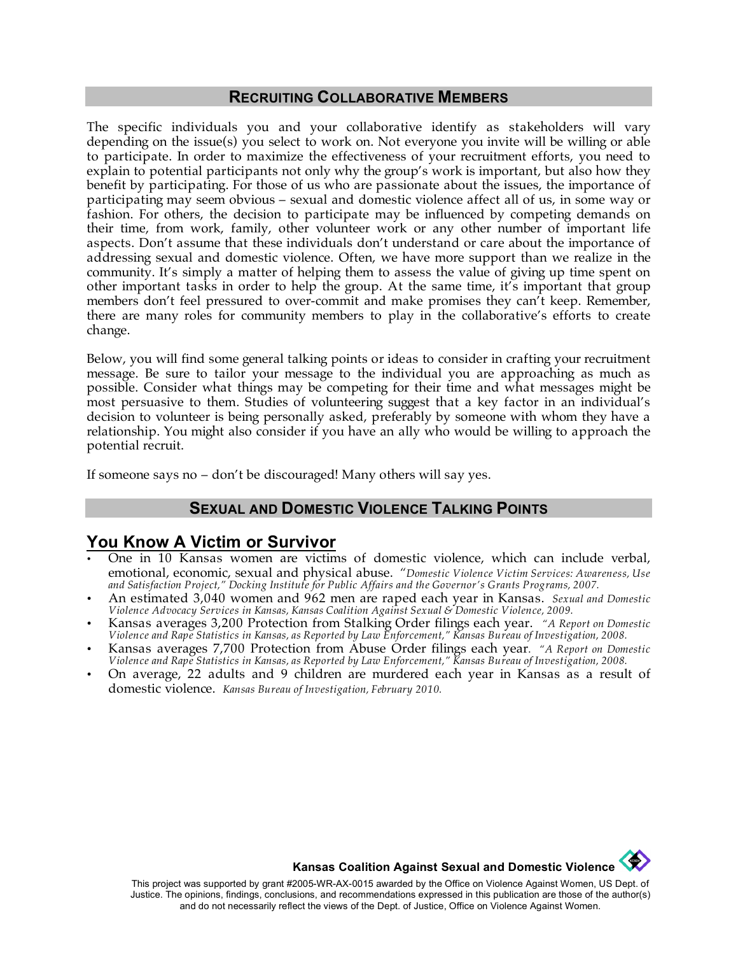#### **RECRUITING COLLABORATIVE MEMBERS**

The specific individuals you and your collaborative identify as stakeholders will vary depending on the issue(s) you select to work on. Not everyone you invite will be willing or able to participate. In order to maximize the effectiveness of your recruitment efforts, you need to explain to potential participants not only why the group's work is important, but also how they benefit by participating. For those of us who are passionate about the issues, the importance of participating may seem obvious – sexual and domestic violence affect all of us, in some way or fashion. For others, the decision to participate may be influenced by competing demands on their time, from work, family, other volunteer work or any other number of important life aspects. Don't assume that these individuals don't understand or care about the importance of addressing sexual and domestic violence. Often, we have more support than we realize in the community. It's simply a matter of helping them to assess the value of giving up time spent on other important tasks in order to help the group. At the same time, it's important that group members don't feel pressured to over-commit and make promises they can't keep. Remember, there are many roles for community members to play in the collaborative's efforts to create change.

Below, you will find some general talking points or ideas to consider in crafting your recruitment message. Be sure to tailor your message to the individual you are approaching as much as possible. Consider what things may be competing for their time and what messages might be most persuasive to them. Studies of volunteering suggest that a key factor in an individual's decision to volunteer is being personally asked, preferably by someone with whom they have a relationship. You might also consider if you have an ally who would be willing to approach the potential recruit.

If someone says no – don't be discouraged! Many others will say yes.

#### **SEXUAL AND DOMESTIC VIOLENCE TALKING POINTS**

#### **You Know A Victim or Survivor**

- One in 10 Kansas women are victims of domestic violence, which can include verbal, emotional, economic, sexual and physical abuse.!!*"Domestic Violence Victim Services: Awareness, Use and Satisfaction Project," Docking Institute for Public Affairs and the Governor's Grants Programs, 2007.*
- An estimated 3,040 women and 962 men are raped each year in Kansas.!!*Sexual and Domestic Violence Advocacy Services in Kansas, Kansas Coalition Against Sexual & Domestic Violence, 2009.*
- Kansas averages 3,200 Protection from Stalking Order filings each year. *"A Report on Domestic Violence and Rape Statistics in Kansas, as Reported by Law Enforcement," Kansas Bureau of Investigation, 2008.*
- Kansas averages 7,700 Protection from Abuse Order filings each year. *"A Report on Domestic Violence and Rape Statistics in Kansas, as Reported by Law Enforcement," Kansas Bureau of Investigation, 2008.*
- On average, 22 adults and 9 children are murdered each year in Kansas as a result of domestic violence. *Kansas Bureau of Investigation, February 2010.*

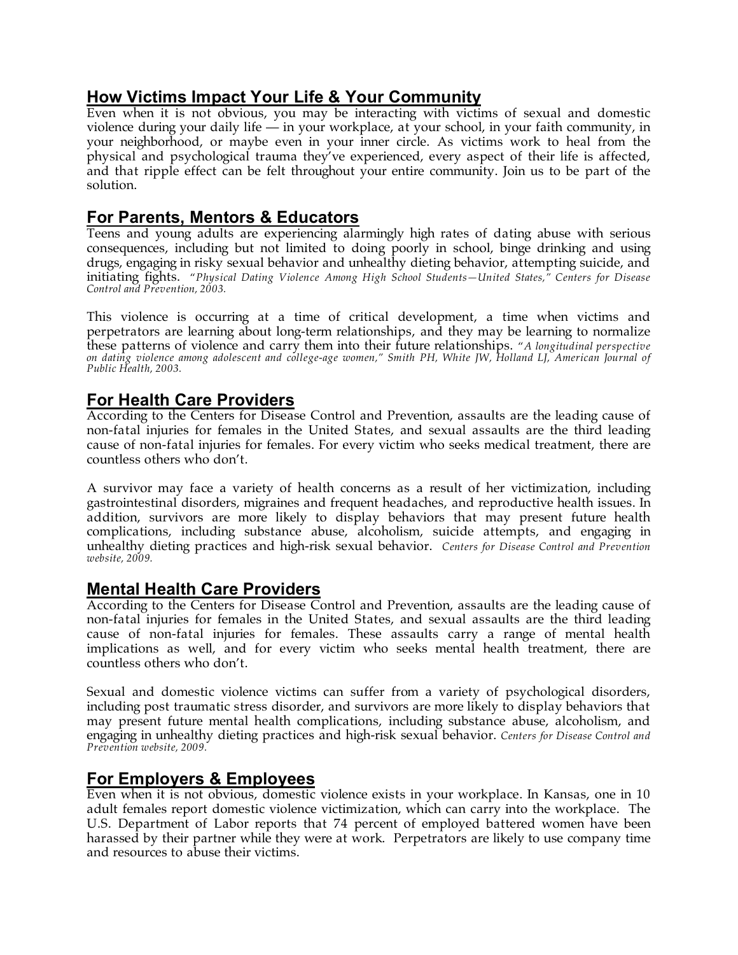# **How Victims Impact Your Life & Your Community**

Even when it is not obvious, you may be interacting with victims of sexual and domestic violence during your daily life — in your workplace, at your school, in your faith community, in your neighborhood, or maybe even in your inner circle. As victims work to heal from the physical and psychological trauma they've experienced, every aspect of their life is affected, and that ripple effect can be felt throughout your entire community. Join us to be part of the solution.

# **For Parents, Mentors & Educators**

Teens and young adults are experiencing alarmingly high rates of dating abuse with serious consequences, including but not limited to doing poorly in school, binge drinking and using drugs, engaging in risky sexual behavior and unhealthy dieting behavior, attempting suicide, and initiating fights. "*Physical Dating Violence Among High School Students—United States," Centers for Disease Control and Prevention, 2003.*

This violence is occurring at a time of critical development, a time when victims and perpetrators are learning about long-term relationships, and they may be learning to normalize these patterns of violence and carry them into their future relationships. "*A longitudinal perspective on dating violence among adolescent and college-age women," Smith PH, White JW, Holland LJ, American Journal of Public Health, 2003.*

### **For Health Care Providers**

According to the Centers for Disease Control and Prevention, assaults are the leading cause of non-fatal injuries for females in the United States, and sexual assaults are the third leading cause of non-fatal injuries for females. For every victim who seeks medical treatment, there are countless others who don't.

A survivor may face a variety of health concerns as a result of her victimization, including gastrointestinal disorders, migraines and frequent headaches, and reproductive health issues. In addition, survivors are more likely to display behaviors that may present future health complications, including substance abuse, alcoholism, suicide attempts, and engaging in unhealthy dieting practices and high-risk sexual behavior. *Centers for Disease Control and Prevention website, 2009.*

# **Mental Health Care Providers**

According to the Centers for Disease Control and Prevention, assaults are the leading cause of non-fatal injuries for females in the United States, and sexual assaults are the third leading cause of non-fatal injuries for females. These assaults carry a range of mental health implications as well, and for every victim who seeks mental health treatment, there are countless others who don't.

Sexual and domestic violence victims can suffer from a variety of psychological disorders, including post traumatic stress disorder, and survivors are more likely to display behaviors that may present future mental health complications, including substance abuse, alcoholism, and engaging in unhealthy dieting practices and high-risk sexual behavior. *Centers for Disease Control and Prevention website, 2009.*

# **For Employers & Employees**

Even when it is not obvious, domestic violence exists in your workplace. In Kansas, one in 10 adult females report domestic violence victimization, which can carry into the workplace. The U.S. Department of Labor reports that 74 percent of employed battered women have been harassed by their partner while they were at work. Perpetrators are likely to use company time and resources to abuse their victims.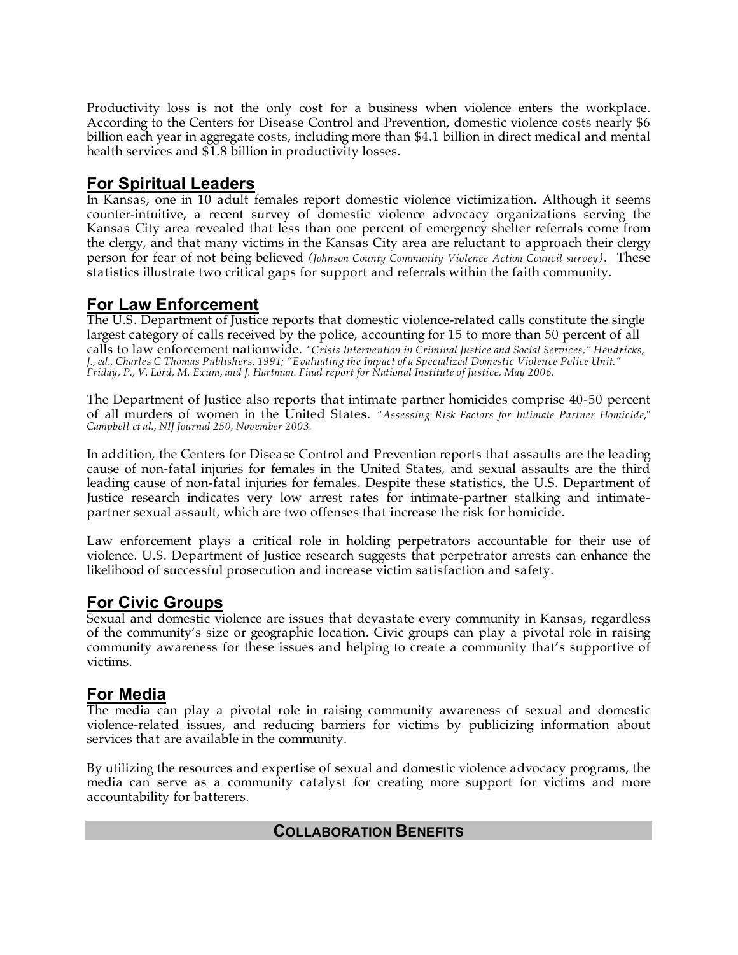Productivity loss is not the only cost for a business when violence enters the workplace. According to the Centers for Disease Control and Prevention, domestic violence costs nearly \$6 billion each year in aggregate costs, including more than \$4.1 billion in direct medical and mental health services and \$1.8 billion in productivity losses.

### **For Spiritual Leaders**

In Kansas, one in 10 adult females report domestic violence victimization. Although it seems counter-intuitive, a recent survey of domestic violence advocacy organizations serving the Kansas City area revealed that less than one percent of emergency shelter referrals come from the clergy, and that many victims in the Kansas City area are reluctant to approach their clergy person for fear of not being believed *(Johnson County Community Violence Action Council survey)*. These statistics illustrate two critical gaps for support and referrals within the faith community.

### **For Law Enforcement**

The U.S. Department of Justice reports that domestic violence-related calls constitute the single largest category of calls received by the police, accounting for 15 to more than 50 percent of all calls to law enforcement nationwide. *"Crisis Intervention in Criminal Justice and Social Services," Hendricks, J., ed., Charles C Thomas Publishers, 1991; "Evaluating the Impact of a Specialized Domestic Violence Police Unit." Friday, P., V. Lord, M. Exum, and J. Hartman. Final report for National Institute of Justice, May 2006.*

The Department of Justice also reports that intimate partner homicides comprise 40-50 percent of all murders of women in the United States. *"Assessing Risk Factors for Intimate Partner Homicide*," *Campbell et al., NIJ Journal 250, November 2003.*

In addition, the Centers for Disease Control and Prevention reports that assaults are the leading cause of non-fatal injuries for females in the United States, and sexual assaults are the third leading cause of non-fatal injuries for females. Despite these statistics, the U.S. Department of Justice research indicates very low arrest rates for intimate-partner stalking and intimatepartner sexual assault, which are two offenses that increase the risk for homicide.

Law enforcement plays a critical role in holding perpetrators accountable for their use of violence. U.S. Department of Justice research suggests that perpetrator arrests can enhance the likelihood of successful prosecution and increase victim satisfaction and safety.

# **For Civic Groups**

Sexual and domestic violence are issues that devastate every community in Kansas, regardless of the community's size or geographic location. Civic groups can play a pivotal role in raising community awareness for these issues and helping to create a community that's supportive of victims.

#### **For Media**

The media can play a pivotal role in raising community awareness of sexual and domestic violence-related issues, and reducing barriers for victims by publicizing information about services that are available in the community.

By utilizing the resources and expertise of sexual and domestic violence advocacy programs, the media can serve as a community catalyst for creating more support for victims and more accountability for batterers.

# **COLLABORATION BENEFITS**